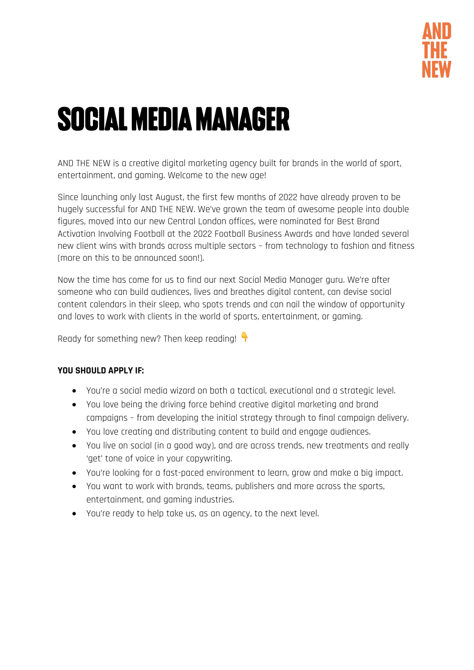

# SOCIAL MEDIA MANAGER

AND THE NEW is a creative digital marketing agency built for brands in the world of sport, entertainment, and gaming. Welcome to the new age!

Since launching only last August, the first few months of 2022 have already proven to be hugely successful for AND THE NEW. We've grown the team of awesome people into double figures, moved into our new Central London offices, were nominated for Best Brand Activation Involving Football at the 2022 Football Business Awards and have landed several new client wins with brands across multiple sectors – from technology to fashion and fitness (more on this to be announced soon!).

Now the time has come for us to find our next Social Media Manager guru. We're after someone who can build audiences, lives and breathes digital content, can devise social content calendars in their sleep, who spots trends and can nail the window of opportunity and loves to work with clients in the world of sports, entertainment, or gaming.

Ready for something new? Then keep reading!

# **YOU SHOULD APPLY IF:**

- You're a social media wizard on both a tactical, executional and a strategic level.
- You love being the driving force behind creative digital marketing and brand campaigns – from developing the initial strategy through to final campaign delivery.
- You love creating and distributing content to build and engage audiences.
- You live on social (in a good way), and are across trends, new treatments and really 'get' tone of voice in your copywriting.
- You're looking for a fast-paced environment to learn, grow and make a big impact.
- You want to work with brands, teams, publishers and more across the sports, entertainment, and gaming industries.
- You're ready to help take us, as an agency, to the next level.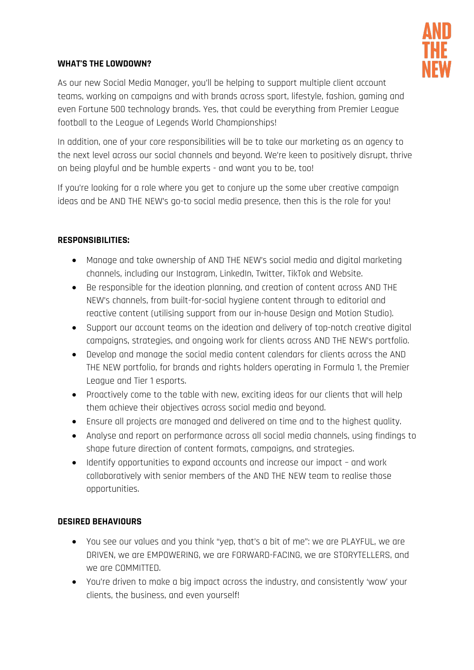

## **WHAT'S THE LOWDOWN?**

As our new Social Media Manager, you'll be helping to support multiple client account teams, working on campaigns and with brands across sport, lifestyle, fashion, gaming and even Fortune 500 technology brands. Yes, that could be everything from Premier League football to the League of Legends World Championships!

In addition, one of your core responsibilities will be to take our marketing as an agency to the next level across our social channels and beyond. We're keen to positively disrupt, thrive on being playful and be humble experts - and want you to be, too!

If you're looking for a role where you get to conjure up the some uber creative campaign ideas and be AND THE NEW's go-to social media presence, then this is the role for you!

# **RESPONSIBILITIES:**

- Manage and take ownership of AND THE NEW's social media and digital marketing channels, including our Instagram, LinkedIn, Twitter, TikTok and Website.
- Be responsible for the ideation planning, and creation of content across AND THE NEW's channels, from built-for-social hygiene content through to editorial and reactive content (utilising support from our in-house Design and Motion Studio).
- Support our account teams on the ideation and delivery of top-notch creative digital campaigns, strategies, and ongoing work for clients across AND THE NEW's portfolio.
- Develop and manage the social media content calendars for clients across the AND THE NEW portfolio, for brands and rights holders operating in Formula 1, the Premier League and Tier 1 esports.
- Proactively come to the table with new, exciting ideas for our clients that will help them achieve their objectives across social media and beyond.
- Ensure all projects are managed and delivered on time and to the highest quality.
- Analyse and report on performance across all social media channels, using findings to shape future direction of content formats, campaigns, and strategies.
- Identify opportunities to expand accounts and increase our impact and work collaboratively with senior members of the AND THE NEW team to realise those opportunities.

#### **DESIRED BEHAVIOURS**

- You see our values and you think "yep, that's a bit of me": we are PLAYFUL, we are DRIVEN, we are EMPOWERING, we are FORWARD-FACING, we are STORYTELLERS, and we are COMMITTED.
- You're driven to make a big impact across the industry, and consistently 'wow' your clients, the business, and even yourself!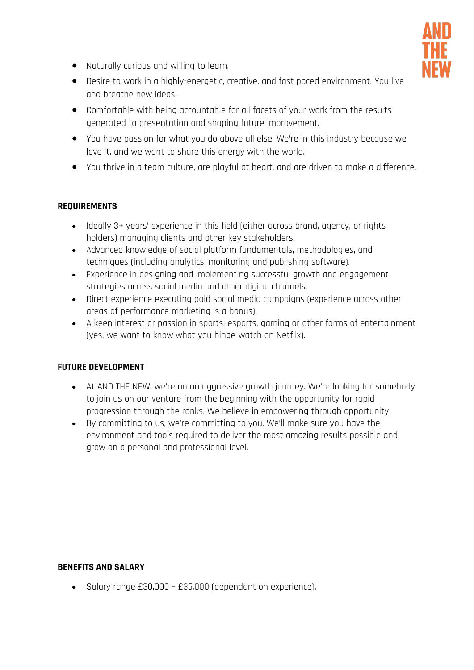

- Naturally curious and willing to learn.
- Desire to work in a highly-energetic, creative, and fast paced environment. You live and breathe new ideas!
- Comfortable with being accountable for all facets of your work from the results generated to presentation and shaping future improvement.
- You have passion for what you do above all else. We're in this industry because we love it, and we want to share this energy with the world.
- You thrive in a team culture, are playful at heart, and are driven to make a difference.

## **REQUIREMENTS**

- Ideally 3+ years' experience in this field (either across brand, agency, or rights holders) managing clients and other key stakeholders.
- Advanced knowledge of social platform fundamentals, methodologies, and techniques (including analytics, monitoring and publishing software).
- Experience in designing and implementing successful growth and engagement strategies across social media and other digital channels.
- Direct experience executing paid social media campaigns (experience across other areas of performance marketing is a bonus).
- A keen interest or passion in sports, esports, gaming or other forms of entertainment (yes, we want to know what you binge-watch on Netflix).

# **FUTURE DEVELOPMENT**

- At AND THE NEW, we're on an aggressive growth journey. We're looking for somebody to join us on our venture from the beginning with the opportunity for rapid progression through the ranks. We believe in empowering through opportunity!
- By committing to us, we're committing to you. We'll make sure you have the environment and tools required to deliver the most amazing results possible and grow on a personal and professional level.

#### **BENEFITS AND SALARY**

• Salary range £30,000 – £35,000 (dependant on experience).